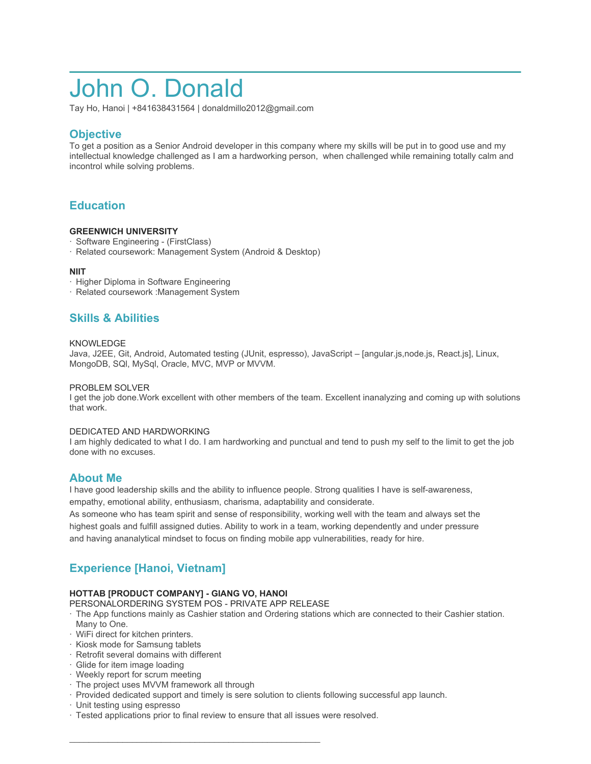# John O. Donald

Tay Ho, Hanoi | +841638431564 | donaldmillo2012@gmail.com

## **Objective**

To get a position as a Senior Android developer in this company where my skills will be put in to good use and my intellectual knowledge challenged as I am a hardworking person, when challenged while remaining totally calm and incontrol while solving problems.

# **Education**

### **GREENWICH UNIVERSITY**

- · Software Engineering (FirstClass)
- · Related coursework: Management System (Android & Desktop)

### **NIIT**

- · Higher Diploma in Software Engineering
- · Related coursework :Management System

### **Skills & Abilities**

### KNOWLEDGE

Java, J2EE, Git, Android, Automated testing (JUnit, espresso), JavaScript – [angular.js,node.js, React.js], Linux, MongoDB, SQl, MySql, Oracle, MVC, MVP or MVVM.

### PROBLEM SOLVER

I get the job done.Work excellent with other members of the team. Excellent inanalyzing and coming up with solutions that work.

### DEDICATED AND HARDWORKING

I am highly dedicated to what I do. I am hardworking and punctual and tend to push my self to the limit to get the job done with no excuses.

### **About Me**

I have good leadership skills and the ability to influence people. Strong qualities I have is self-awareness, empathy, emotional ability, enthusiasm, charisma, adaptability and considerate.

As someone who has team spirit and sense of responsibility, working well with the team and always set the highest goals and fulfill assigned duties. Ability to work in a team, working dependently and under pressure and having ananalytical mindset to focus on finding mobile app vulnerabilities, ready for hire.

# **Experience [Hanoi, Vietnam]**

### **HOTTAB [PRODUCT COMPANY] - GIANG VO, HANOI**

PERSONALORDERING SYSTEM POS - PRIVATE APP RELEASE

 $\mathcal{L}_\text{max}$  and  $\mathcal{L}_\text{max}$  and  $\mathcal{L}_\text{max}$  and  $\mathcal{L}_\text{max}$  and  $\mathcal{L}_\text{max}$ 

- · The App functions mainly as Cashier station and Ordering stations which are connected to their Cashier station. Many to One.
- · WiFi direct for kitchen printers.
- · Kiosk mode for Samsung tablets
- · Retrofit several domains with different
- · Glide for item image loading
- · Weekly report for scrum meeting
- · The project uses MVVM framework all through
- · Provided dedicated support and timely is sere solution to clients following successful app launch.
- · Unit testing using espresso
- · Tested applications prior to final review to ensure that all issues were resolved.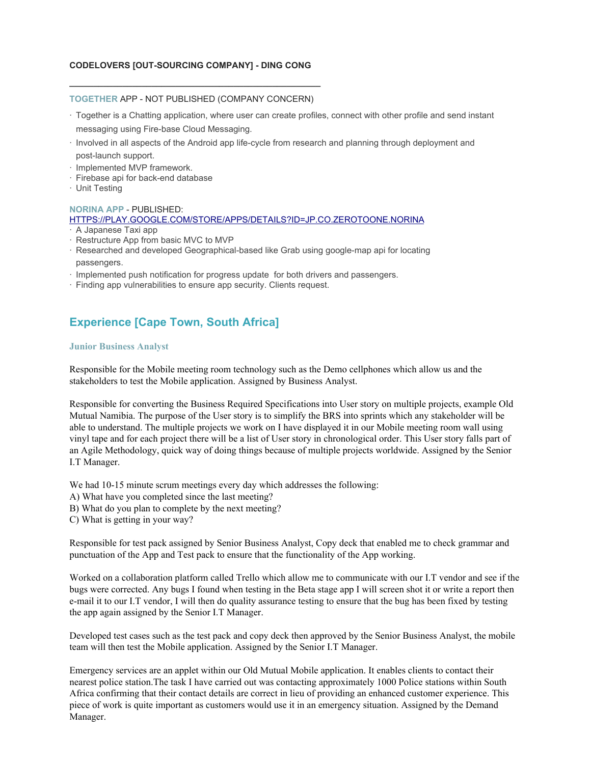### **CODELOVERS [OUT-SOURCING COMPANY] - DING CONG**

### **\_\_\_\_\_\_\_\_\_\_\_\_\_\_\_\_\_\_\_\_\_\_\_\_\_\_\_\_\_\_\_\_\_\_\_\_\_\_\_\_\_\_\_\_\_\_\_\_\_\_\_\_ TOGETHER** APP - NOT PUBLISHED (COMPANY CONCERN)

- · Together is a Chatting application, where user can create profiles, connect with other profile and send instant messaging using Fire-base Cloud Messaging.
- · Involved in all aspects of the Android app life-cycle from research and planning through deployment and post-launch support.
- · Implemented MVP framework.
- · Firebase api for back-end database
- · Unit Testing

### **NORINA APP** - PUBLISHED: [HTTPS://PLAY.GOOGLE.COM/STORE/APPS/DETAILS?ID=JP.CO.ZEROTOONE.NORINA](https://play.google.com/store/apps/details?id=jp.co.zerotoone.norina)

- · A Japanese Taxi app
- · Restructure App from basic MVC to MVP
- · Researched and developed Geographical-based like Grab using google-map api for locating passengers.
- · Implemented push notification for progress update for both drivers and passengers.
- · Finding app vulnerabilities to ensure app security. Clients request.

# **Experience [Cape Town, South Africa]**

#### **Junior Business Analyst**

Responsible for the Mobile meeting room technology such as the Demo cellphones which allow us and the stakeholders to test the Mobile application. Assigned by Business Analyst.

Responsible for converting the Business Required Specifications into User story on multiple projects, example Old Mutual Namibia. The purpose of the User story is to simplify the BRS into sprints which any stakeholder will be able to understand. The multiple projects we work on I have displayed it in our Mobile meeting room wall using vinyl tape and for each project there will be a list of User story in chronological order. This User story falls part of an Agile Methodology, quick way of doing things because of multiple projects worldwide. Assigned by the Senior I.T Manager.

We had 10-15 minute scrum meetings every day which addresses the following:

- A) What have you completed since the last meeting?
- B) What do you plan to complete by the next meeting?
- C) What is getting in your way?

Responsible for test pack assigned by Senior Business Analyst, Copy deck that enabled me to check grammar and punctuation of the App and Test pack to ensure that the functionality of the App working.

Worked on a collaboration platform called Trello which allow me to communicate with our I.T vendor and see if the bugs were corrected. Any bugs I found when testing in the Beta stage app I will screen shot it or write a report then e-mail it to our I.T vendor, I will then do quality assurance testing to ensure that the bug has been fixed by testing the app again assigned by the Senior I.T Manager.

Developed test cases such as the test pack and copy deck then approved by the Senior Business Analyst, the mobile team will then test the Mobile application. Assigned by the Senior I.T Manager.

Emergency services are an applet within our Old Mutual Mobile application. It enables clients to contact their nearest police station.The task I have carried out was contacting approximately 1000 Police stations within South Africa confirming that their contact details are correct in lieu of providing an enhanced customer experience. This piece of work is quite important as customers would use it in an emergency situation. Assigned by the Demand Manager.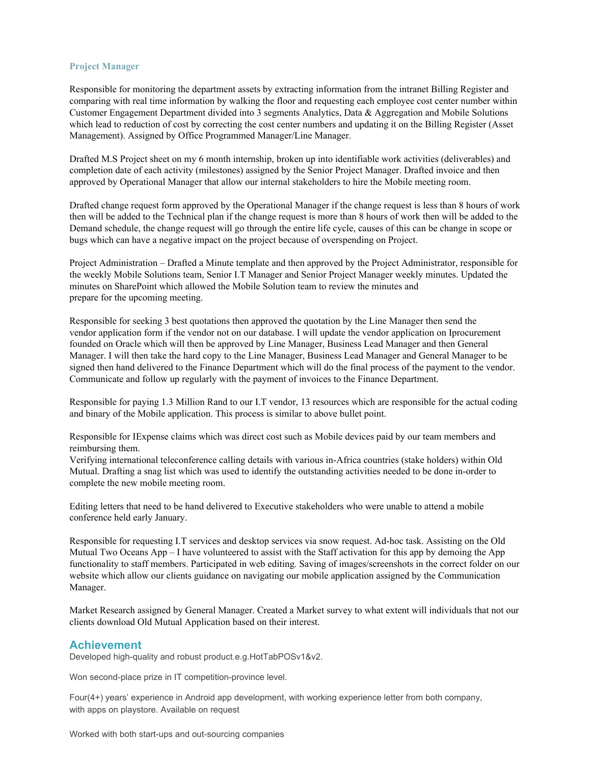### **Project Manager**

Responsible for monitoring the department assets by extracting information from the intranet Billing Register and comparing with real time information by walking the floor and requesting each employee cost center number within Customer Engagement Department divided into 3 segments Analytics, Data & Aggregation and Mobile Solutions which lead to reduction of cost by correcting the cost center numbers and updating it on the Billing Register (Asset Management). Assigned by Office Programmed Manager/Line Manager.

Drafted M.S Project sheet on my 6 month internship, broken up into identifiable work activities (deliverables) and completion date of each activity (milestones) assigned by the Senior Project Manager. Drafted invoice and then approved by Operational Manager that allow our internal stakeholders to hire the Mobile meeting room.

Drafted change request form approved by the Operational Manager if the change request is less than 8 hours of work then will be added to the Technical plan if the change request is more than 8 hours of work then will be added to the Demand schedule, the change request will go through the entire life cycle, causes of this can be change in scope or bugs which can have a negative impact on the project because of overspending on Project.

Project Administration – Drafted a Minute template and then approved by the Project Administrator, responsible for the weekly Mobile Solutions team, Senior I.T Manager and Senior Project Manager weekly minutes. Updated the minutes on SharePoint which allowed the Mobile Solution team to review the minutes and prepare for the upcoming meeting.

Responsible for seeking 3 best quotations then approved the quotation by the Line Manager then send the vendor application form if the vendor not on our database. I will update the vendor application on Iprocurement founded on Oracle which will then be approved by Line Manager, Business Lead Manager and then General Manager. I will then take the hard copy to the Line Manager, Business Lead Manager and General Manager to be signed then hand delivered to the Finance Department which will do the final process of the payment to the vendor. Communicate and follow up regularly with the payment of invoices to the Finance Department.

Responsible for paying 1.3 Million Rand to our I.T vendor, 13 resources which are responsible for the actual coding and binary of the Mobile application. This process is similar to above bullet point.

Responsible for IExpense claims which was direct cost such as Mobile devices paid by our team members and reimbursing them.

Verifying international teleconference calling details with various in-Africa countries (stake holders) within Old Mutual. Drafting a snag list which was used to identify the outstanding activities needed to be done in-order to complete the new mobile meeting room.

Editing letters that need to be hand delivered to Executive stakeholders who were unable to attend a mobile conference held early January.

Responsible for requesting I.T services and desktop services via snow request. Ad-hoc task. Assisting on the Old Mutual Two Oceans App – I have volunteered to assist with the Staff activation for this app by demoing the App functionality to staff members. Participated in web editing. Saving of images/screenshots in the correct folder on our website which allow our clients guidance on navigating our mobile application assigned by the Communication Manager.

Market Research assigned by General Manager. Created a Market survey to what extent will individuals that not our clients download Old Mutual Application based on their interest.

### **Achievement**

Developed high-quality and robust product.e.g.HotTabPOSv1&v2.

Won second-place prize in IT competition-province level.

Four(4+) years' experience in Android app development, with working experience letter from both company, with apps on playstore. Available on request

Worked with both start-ups and out-sourcing companies